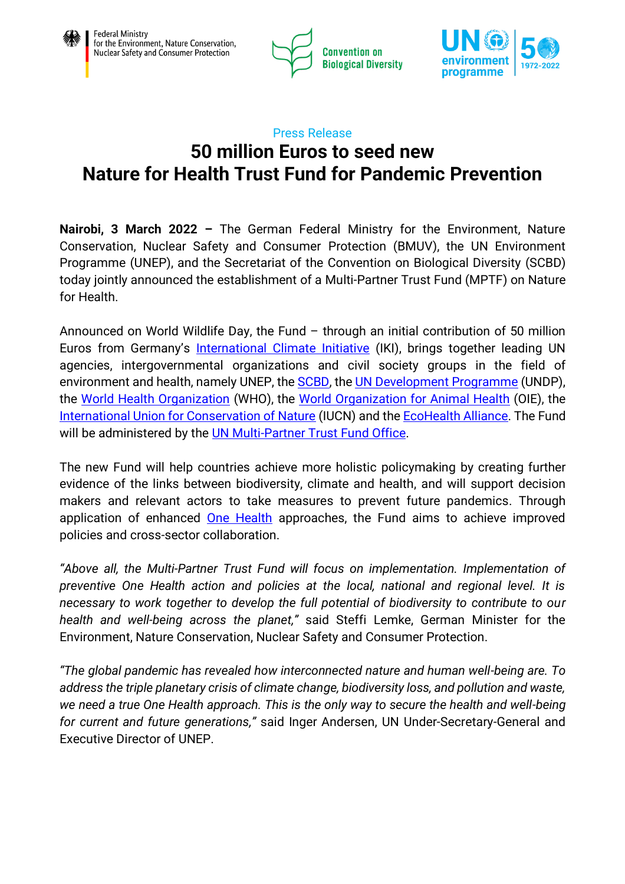



# Press Release **50 million Euros to seed new Nature for Health Trust Fund for Pandemic Prevention**

**Nairobi, 3 March 2022 –** The German Federal Ministry for the Environment, Nature Conservation, Nuclear Safety and Consumer Protection (BMUV), the UN Environment Programme (UNEP), and the Secretariat of the Convention on Biological Diversity (SCBD) today jointly announced the establishment of a Multi-Partner Trust Fund (MPTF) on Nature for Health.

Announced on World Wildlife Day, the Fund – through an initial contribution of 50 million Euros from Germany's **[International Climate Initiative](https://www.international-climate-initiative.com/en)** (IKI), brings together leading UN agencies, intergovernmental organizations and civil society groups in the field of environment and health, namely UNEP, the **SCBD**, the UN [Development Programme](https://www.undp.org/) (UNDP), the [World Health Organization](https://www.who.int/) (WHO), the [World Organization for Animal Health](https://www.oie.int/en/) (OIE), the [International Union for Conservation of Nature](https://www.iucn.org/) (IUCN) and th[e EcoHealth Alliance.](https://www.ecohealthalliance.org/) The Fund will be administered by the [UN Multi-Partner Trust Fund Office.](https://mptf.undp.org/)

The new Fund will help countries achieve more holistic policymaking by creating further evidence of the links between biodiversity, climate and health, and will support decision makers and relevant actors to take measures to prevent future pandemics. Through application of enhanced **[One Health](https://www.unep.org/news-and-stories/statements/joint-tripartite-and-unep-statement-definition-one-health)** approaches, the Fund aims to achieve improved policies and cross-sector collaboration.

*"Above all, the Multi-Partner Trust Fund will focus on implementation. Implementation of preventive One Health action and policies at the local, national and regional level. It is necessary to work together to develop the full potential of biodiversity to contribute to our health and well-being across the planet,"* said Steffi Lemke, German Minister for the Environment, Nature Conservation, Nuclear Safety and Consumer Protection.

*"The global pandemic has revealed how interconnected nature and human well-being are. To address the triple planetary crisis of climate change, biodiversity loss, and pollution and waste, we need a true One Health approach. This is the only way to secure the health and well-being for current and future generations,"* said Inger Andersen, UN Under-Secretary-General and Executive Director of UNEP.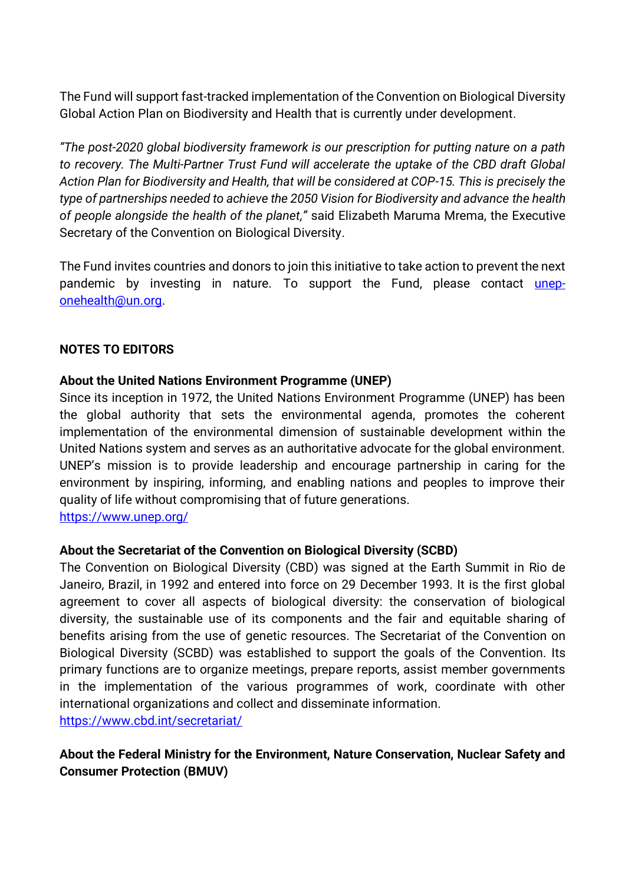The Fund will support fast-tracked implementation of the Convention on Biological Diversity Global Action Plan on Biodiversity and Health that is currently under development.

*"The post-2020 global biodiversity framework is our prescription for putting nature on a path to recovery. The Multi-Partner Trust Fund will accelerate the uptake of the CBD draft Global Action Plan for Biodiversity and Health, that will be considered at COP-15. This is precisely the type of partnerships needed to achieve the 2050 Vision for Biodiversity and advance the health of people alongside the health of the planet,"* said Elizabeth Maruma Mrema, the Executive Secretary of the Convention on Biological Diversity.

The Fund invites countries and donors to join this initiative to take action to prevent the next pandemic by investing in nature. To support the Fund, please contact [unep](mailto:unep-onehealth@un.org)[onehealth@un.org.](mailto:unep-onehealth@un.org)

### **NOTES TO EDITORS**

#### **About the United Nations Environment Programme (UNEP)**

Since its inception in 1972, the United Nations Environment Programme (UNEP) has been the global authority that sets the environmental agenda, promotes the coherent implementation of the environmental dimension of sustainable development within the United Nations system and serves as an authoritative advocate for the global environment. UNEP's mission is to provide leadership and encourage partnership in caring for the environment by inspiring, informing, and enabling nations and peoples to improve their quality of life without compromising that of future generations.

<https://www.unep.org/>

#### **About the Secretariat of the Convention on Biological Diversity (SCBD)**

The Convention on Biological Diversity (CBD) was signed at the Earth Summit in Rio de Janeiro, Brazil, in 1992 and entered into force on 29 December 1993. It is the first global agreement to cover all aspects of biological diversity: the conservation of biological diversity, the sustainable use of its components and the fair and equitable sharing of benefits arising from the use of genetic resources. The Secretariat of the Convention on Biological Diversity (SCBD) was established to support the goals of the Convention. Its primary functions are to organize meetings, prepare reports, assist member governments in the implementation of the various programmes of work, coordinate with other international organizations and collect and disseminate information. <https://www.cbd.int/secretariat/>

## **About the Federal Ministry for the Environment, Nature Conservation, Nuclear Safety and Consumer Protection (BMUV)**